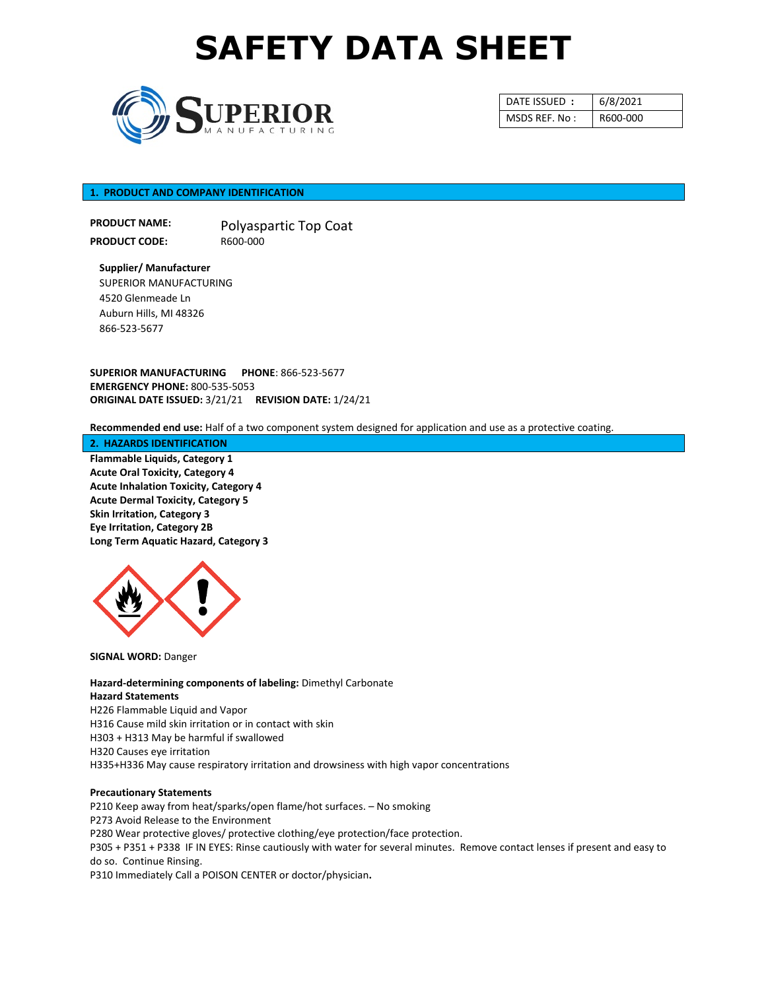

| DATE ISSUED:  | 6/8/2021 |
|---------------|----------|
| MSDS REF. No: | R600-000 |

## **1. PRODUCT AND COMPANY IDENTIFICATION**

**PRODUCT NAME: PRODUCT CODE:** Polyaspartic Top Coat R600-000

**Supplier/ Manufacturer**  SUPERIOR MANUFACTURING 4520 Glenmeade Ln Auburn Hills, MI 48326 866-523-5677

**SUPERIOR MANUFACTURING PHONE**: 866-523-5677 **EMERGENCY PHONE:** 800-535-5053 **ORIGINAL DATE ISSUED:** 3/21/21 **REVISION DATE:** 1/24/21

**Recommended end use:** Half of a two component system designed for application and use as a protective coating.

#### **2. HAZARDS IDENTIFICATION**

**Flammable Liquids, Category 1 Acute Oral Toxicity, Category 4 Acute Inhalation Toxicity, Category 4 Acute Dermal Toxicity, Category 5 Skin Irritation, Category 3 Eye Irritation, Category 2B Long Term Aquatic Hazard, Category 3**



**SIGNAL WORD:** Danger

**Hazard-determining components of labeling:** Dimethyl Carbonate **Hazard Statements** H226 Flammable Liquid and Vapor H316 Cause mild skin irritation or in contact with skin H303 + H313 May be harmful if swallowed H320 Causes eye irritation H335+H336 May cause respiratory irritation and drowsiness with high vapor concentrations

#### **Precautionary Statements**

P210 Keep away from heat/sparks/open flame/hot surfaces. – No smoking P273 Avoid Release to the Environment P280 Wear protective gloves/ protective clothing/eye protection/face protection. P305 + P351 + P338 IF IN EYES: Rinse cautiously with water for several minutes. Remove contact lenses if present and easy to do so. Continue Rinsing. P310 Immediately Call a POISON CENTER or doctor/physician**.**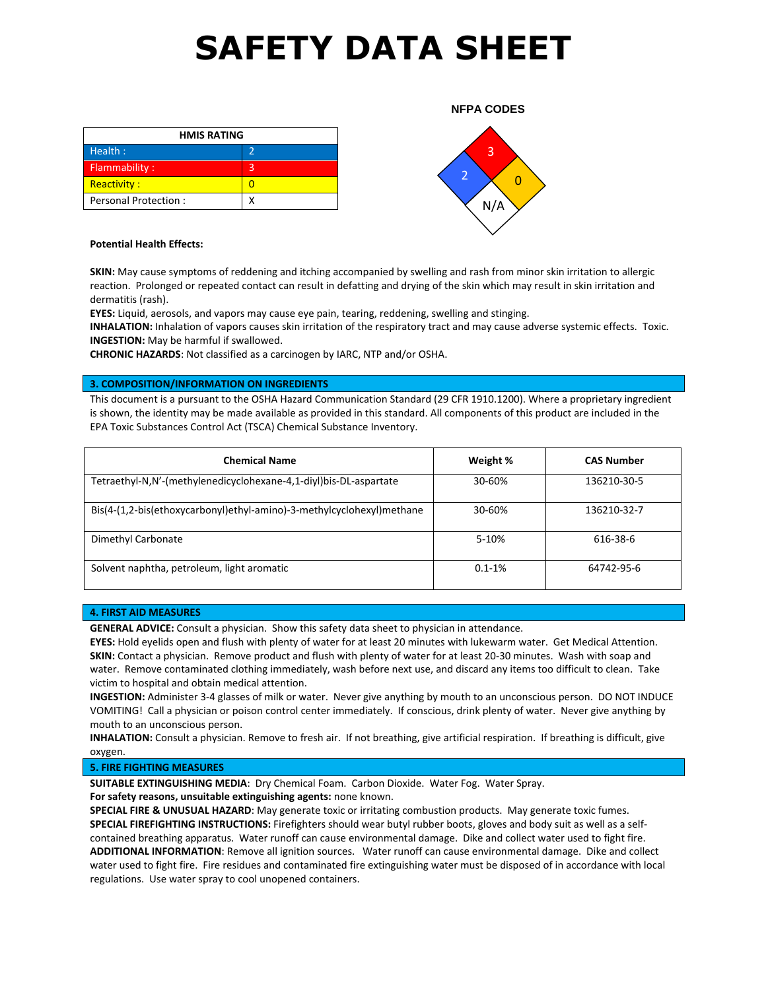| <b>HMIS RATING</b>   |   |
|----------------------|---|
| Health:              |   |
| Flammability:        | З |
| <b>Reactivity:</b>   |   |
| Personal Protection: |   |



**NFPA CODES**

### **Potential Health Effects:**

**SKIN:** May cause symptoms of reddening and itching accompanied by swelling and rash from minor skin irritation to allergic reaction. Prolonged or repeated contact can result in defatting and drying of the skin which may result in skin irritation and dermatitis (rash).

**EYES:** Liquid, aerosols, and vapors may cause eye pain, tearing, reddening, swelling and stinging.

**INHALATION:** Inhalation of vapors causes skin irritation of the respiratory tract and may cause adverse systemic effects. Toxic. **INGESTION:** May be harmful if swallowed.

**CHRONIC HAZARDS**: Not classified as a carcinogen by IARC, NTP and/or OSHA.

### **3. COMPOSITION/INFORMATION ON INGREDIENTS**

This document is a pursuant to the OSHA Hazard Communication Standard (29 CFR 1910.1200). Where a proprietary ingredient is shown, the identity may be made available as provided in this standard. All components of this product are included in the EPA Toxic Substances Control Act (TSCA) Chemical Substance Inventory.

| <b>Chemical Name</b>                                                  | Weight %   | <b>CAS Number</b> |  |
|-----------------------------------------------------------------------|------------|-------------------|--|
| Tetraethyl-N,N'-(methylenedicyclohexane-4,1-diyl)bis-DL-aspartate     | 30-60%     | 136210-30-5       |  |
| Bis(4-(1,2-bis(ethoxycarbonyl)ethyl-amino)-3-methylcyclohexyl)methane | 30-60%     | 136210-32-7       |  |
| Dimethyl Carbonate                                                    | 5-10%      | 616-38-6          |  |
| Solvent naphtha, petroleum, light aromatic                            | $0.1 - 1%$ | 64742-95-6        |  |

### **4. FIRST AID MEASURES**

**GENERAL ADVICE:** Consult a physician. Show this safety data sheet to physician in attendance.

**EYES:** Hold eyelids open and flush with plenty of water for at least 20 minutes with lukewarm water. Get Medical Attention. **SKIN:** Contact a physician. Remove product and flush with plenty of water for at least 20-30 minutes. Wash with soap and water. Remove contaminated clothing immediately, wash before next use, and discard any items too difficult to clean. Take victim to hospital and obtain medical attention.

**INGESTION:** Administer 3-4 glasses of milk or water. Never give anything by mouth to an unconscious person. DO NOT INDUCE VOMITING! Call a physician or poison control center immediately. If conscious, drink plenty of water. Never give anything by mouth to an unconscious person.

**INHALATION:** Consult a physician. Remove to fresh air. If not breathing, give artificial respiration. If breathing is difficult, give oxygen.

#### **5. FIRE FIGHTING MEASURES**

**SUITABLE EXTINGUISHING MEDIA**: Dry Chemical Foam. Carbon Dioxide. Water Fog. Water Spray.

**For safety reasons, unsuitable extinguishing agents:** none known.

**SPECIAL FIRE & UNUSUAL HAZARD**: May generate toxic or irritating combustion products. May generate toxic fumes. **SPECIAL FIREFIGHTING INSTRUCTIONS:** Firefighters should wear butyl rubber boots, gloves and body suit as well as a selfcontained breathing apparatus. Water runoff can cause environmental damage. Dike and collect water used to fight fire. **ADDITIONAL INFORMATION**: Remove all ignition sources. Water runoff can cause environmental damage. Dike and collect water used to fight fire. Fire residues and contaminated fire extinguishing water must be disposed of in accordance with local regulations. Use water spray to cool unopened containers.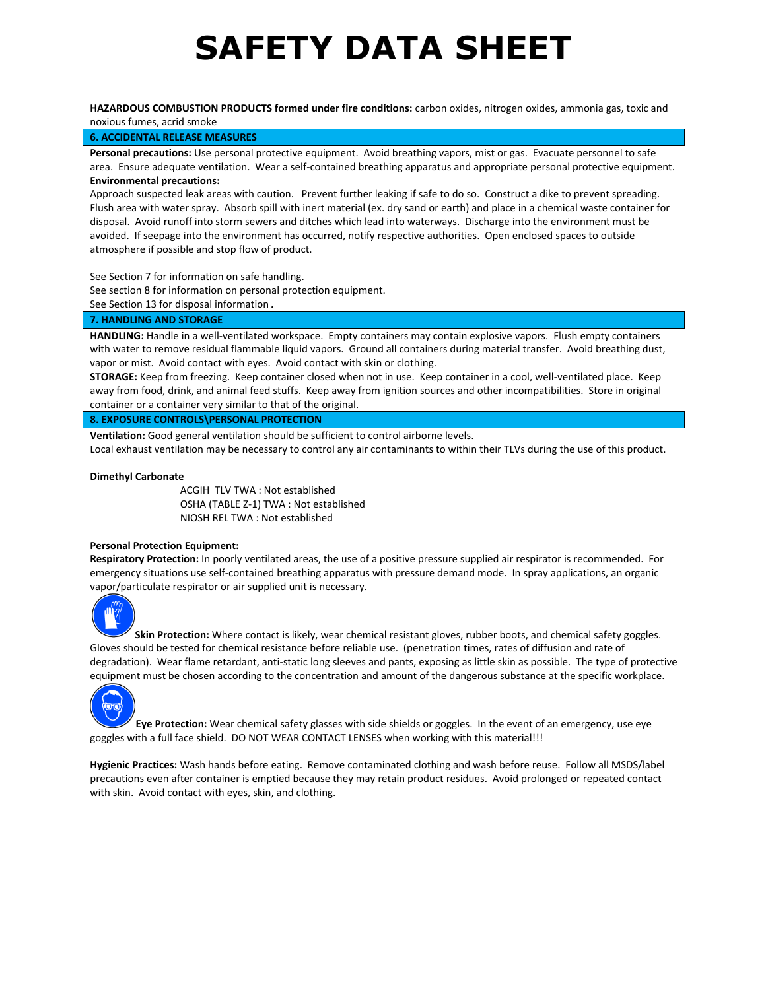**HAZARDOUS COMBUSTION PRODUCTS formed under fire conditions:** carbon oxides, nitrogen oxides, ammonia gas, toxic and noxious fumes, acrid smoke

## **6. ACCIDENTAL RELEASE MEASURES**

**Personal precautions:** Use personal protective equipment. Avoid breathing vapors, mist or gas. Evacuate personnel to safe area. Ensure adequate ventilation. Wear a self-contained breathing apparatus and appropriate personal protective equipment. **Environmental precautions:**

Approach suspected leak areas with caution. Prevent further leaking if safe to do so. Construct a dike to prevent spreading. Flush area with water spray. Absorb spill with inert material (ex. dry sand or earth) and place in a chemical waste container for disposal. Avoid runoff into storm sewers and ditches which lead into waterways. Discharge into the environment must be avoided. If seepage into the environment has occurred, notify respective authorities. Open enclosed spaces to outside atmosphere if possible and stop flow of product.

See Section 7 for information on safe handling.

See section 8 for information on personal protection equipment.

See Section 13 for disposal information.

### **7. HANDLING AND STORAGE**

**HANDLING:** Handle in a well-ventilated workspace. Empty containers may contain explosive vapors. Flush empty containers with water to remove residual flammable liquid vapors. Ground all containers during material transfer. Avoid breathing dust, vapor or mist. Avoid contact with eyes. Avoid contact with skin or clothing.

**STORAGE:** Keep from freezing. Keep container closed when not in use. Keep container in a cool, well-ventilated place. Keep away from food, drink, and animal feed stuffs. Keep away from ignition sources and other incompatibilities. Store in original container or a container very similar to that of the original.

## **8. EXPOSURE CONTROLS\PERSONAL PROTECTION**

**Ventilation:** Good general ventilation should be sufficient to control airborne levels.

Local exhaust ventilation may be necessary to control any air contaminants to within their TLVs during the use of this product.

#### **Dimethyl Carbonate**

ACGIH TLV TWA : Not established OSHA (TABLE Z-1) TWA : Not established NIOSH REL TWA : Not established

## **Personal Protection Equipment:**

**Respiratory Protection:** In poorly ventilated areas, the use of a positive pressure supplied air respirator is recommended. For emergency situations use self-contained breathing apparatus with pressure demand mode. In spray applications, an organic vapor/particulate respirator or air supplied unit is necessary.



**Skin Protection:** Where contact is likely, wear chemical resistant gloves, rubber boots, and chemical safety goggles. Gloves should be tested for chemical resistance before reliable use. (penetration times, rates of diffusion and rate of degradation). Wear flame retardant, anti-static long sleeves and pants, exposing as little skin as possible. The type of protective equipment must be chosen according to the concentration and amount of the dangerous substance at the specific workplace.



**Eye Protection:** Wear chemical safety glasses with side shields or goggles. In the event of an emergency, use eye goggles with a full face shield. DO NOT WEAR CONTACT LENSES when working with this material!!!

**Hygienic Practices:** Wash hands before eating. Remove contaminated clothing and wash before reuse. Follow all MSDS/label precautions even after container is emptied because they may retain product residues. Avoid prolonged or repeated contact with skin. Avoid contact with eyes, skin, and clothing.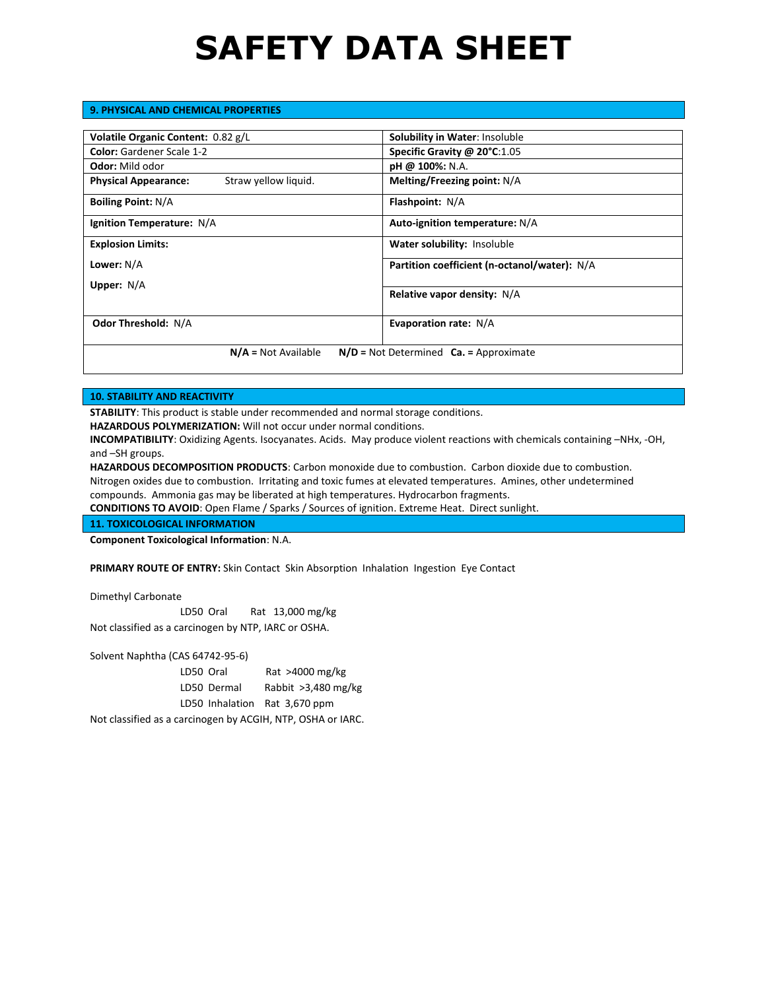## **9. PHYSICAL AND CHEMICAL PROPERTIES**

| Volatile Organic Content: 0.82 g/L                                  | <b>Solubility in Water: Insoluble</b>        |
|---------------------------------------------------------------------|----------------------------------------------|
| <b>Color:</b> Gardener Scale 1-2                                    | Specific Gravity @ 20°C:1.05                 |
| <b>Odor:</b> Mild odor                                              | $pH \& 100\%$ : N.A.                         |
| Straw yellow liquid.<br><b>Physical Appearance:</b>                 | Melting/Freezing point: N/A                  |
| <b>Boiling Point: N/A</b>                                           | <b>Flashpoint: N/A</b>                       |
| Ignition Temperature: N/A                                           | Auto-ignition temperature: N/A               |
| <b>Explosion Limits:</b>                                            | Water solubility: Insoluble                  |
| Lower: N/A                                                          | Partition coefficient (n-octanol/water): N/A |
| Upper: $N/A$                                                        |                                              |
|                                                                     | Relative vapor density: N/A                  |
| <b>Odor Threshold: N/A</b>                                          | Evaporation rate: N/A                        |
| $N/A = Not Available$<br>$N/D$ = Not Determined $Ca.$ = Approximate |                                              |

## **10. STABILITY AND REACTIVITY**

**STABILITY**: This product is stable under recommended and normal storage conditions.

**HAZARDOUS POLYMERIZATION:** Will not occur under normal conditions.

**INCOMPATIBILITY**: Oxidizing Agents. Isocyanates. Acids. May produce violent reactions with chemicals containing –NHx, -OH, and –SH groups.

**HAZARDOUS DECOMPOSITION PRODUCTS**: Carbon monoxide due to combustion. Carbon dioxide due to combustion. Nitrogen oxides due to combustion. Irritating and toxic fumes at elevated temperatures. Amines, other undetermined compounds. Ammonia gas may be liberated at high temperatures. Hydrocarbon fragments.

**CONDITIONS TO AVOID**: Open Flame / Sparks / Sources of ignition. Extreme Heat. Direct sunlight.

## **11. TOXICOLOGICAL INFORMATION**

**Component Toxicological Information**: N.A.

**PRIMARY ROUTE OF ENTRY:** Skin Contact Skin Absorption Inhalation Ingestion Eye Contact

Dimethyl Carbonate

LD50 Oral Rat 13,000 mg/kg Not classified as a carcinogen by NTP, IARC or OSHA.

Solvent Naphtha (CAS 64742-95-6)

LD50 Oral Rat >4000 mg/kg LD50 Dermal Rabbit >3,480 mg/kg LD50 Inhalation Rat 3,670 ppm

Not classified as a carcinogen by ACGIH, NTP, OSHA or IARC.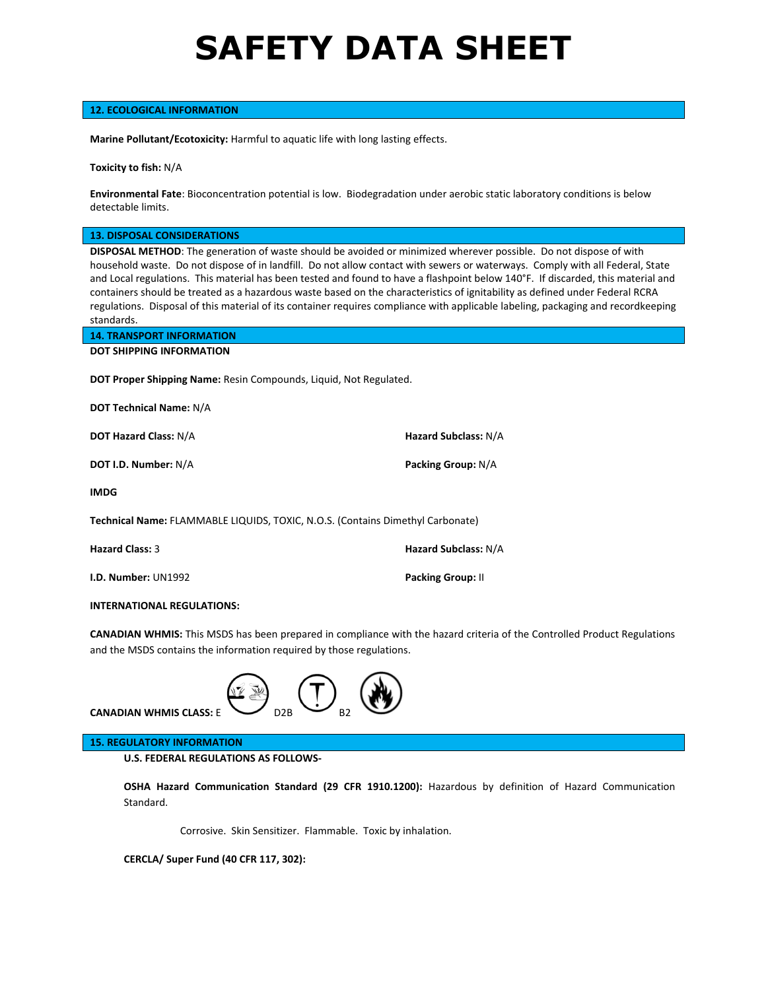## **12. ECOLOGICAL INFORMATION**

**Marine Pollutant/Ecotoxicity:** Harmful to aquatic life with long lasting effects.

**Toxicity to fish:** N/A

**Environmental Fate**: Bioconcentration potential is low. Biodegradation under aerobic static laboratory conditions is below detectable limits.

**13. DISPOSAL CONSIDERATIONS**

**DISPOSAL METHOD**: The generation of waste should be avoided or minimized wherever possible. Do not dispose of with household waste. Do not dispose of in landfill. Do not allow contact with sewers or waterways. Comply with all Federal, State and Local regulations. This material has been tested and found to have a flashpoint below 140°F. If discarded, this material and containers should be treated as a hazardous waste based on the characteristics of ignitability as defined under Federal RCRA regulations. Disposal of this material of its container requires compliance with applicable labeling, packaging and recordkeeping standards.

| <b>14. TRANSPORT INFORMATION</b>                                         |
|--------------------------------------------------------------------------|
| <b>DOT SHIPPING INFORMATION</b>                                          |
|                                                                          |
| <b>DOT Proper Shipping Name:</b> Resin Compounds, Liquid, Not Regulated. |

**DOT Technical Name:** N/A

**DOT Hazard Class:** N/A **Hazard Subclass:** N/A

**DOT I.D. Number:** N/A **Packing Group:** N/A

**IMDG**

**Technical Name:** FLAMMABLE LIQUIDS, TOXIC, N.O.S. (Contains Dimethyl Carbonate)

| <b>Hazard Class: 3</b>     | Hazard Subclass: N/A     |
|----------------------------|--------------------------|
| <b>I.D. Number: UN1992</b> | <b>Packing Group: II</b> |

### **INTERNATIONAL REGULATIONS:**

**CANADIAN WHMIS:** This MSDS has been prepared in compliance with the hazard criteria of the Controlled Product Regulations and the MSDS contains the information required by those regulations.



**CANADIAN WHMIS CLASS: E** 

## **15. REGULATORY INFORMATION**

**U.S. FEDERAL REGULATIONS AS FOLLOWS-**

**OSHA Hazard Communication Standard (29 CFR 1910.1200):** Hazardous by definition of Hazard Communication Standard.

Corrosive. Skin Sensitizer. Flammable. Toxic by inhalation.

**CERCLA/ Super Fund (40 CFR 117, 302):**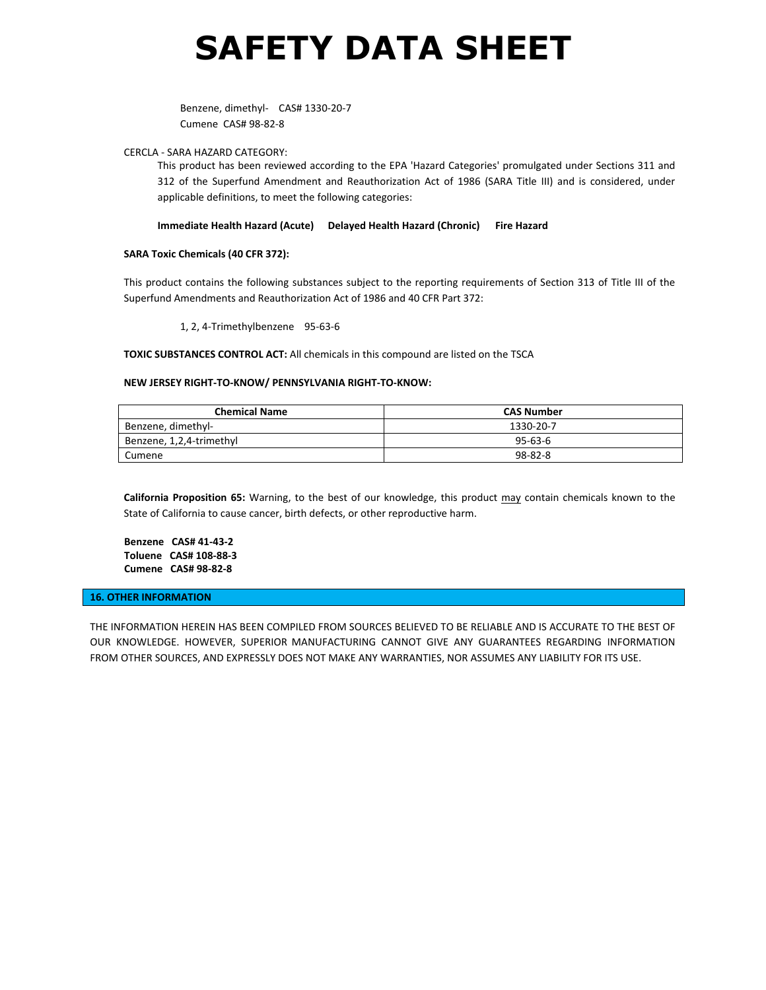Benzene, dimethyl- CAS# 1330-20-7 Cumene CAS# 98-82-8

### CERCLA - SARA HAZARD CATEGORY:

This product has been reviewed according to the EPA 'Hazard Categories' promulgated under Sections 311 and 312 of the Superfund Amendment and Reauthorization Act of 1986 (SARA Title III) and is considered, under applicable definitions, to meet the following categories:

### **Immediate Health Hazard (Acute) Delayed Health Hazard (Chronic) Fire Hazard**

## **SARA Toxic Chemicals (40 CFR 372):**

This product contains the following substances subject to the reporting requirements of Section 313 of Title III of the Superfund Amendments and Reauthorization Act of 1986 and 40 CFR Part 372:

1, 2, 4-Trimethylbenzene 95-63-6

## **TOXIC SUBSTANCES CONTROL ACT:** All chemicals in this compound are listed on the TSCA

#### **NEW JERSEY RIGHT-TO-KNOW/ PENNSYLVANIA RIGHT-TO-KNOW:**

| <b>Chemical Name</b>     | <b>CAS Number</b> |
|--------------------------|-------------------|
| Benzene, dimethyl-       | 1330-20-7         |
| Benzene, 1,2,4-trimethyl | $95 - 63 - 6$     |
| Cumene                   | $98 - 82 - 8$     |

**California Proposition 65:** Warning, to the best of our knowledge, this product may contain chemicals known to the State of California to cause cancer, birth defects, or other reproductive harm.

**Benzene CAS# 41-43-2 Toluene CAS# 108-88-3 Cumene CAS# 98-82-8**

#### **16. OTHER INFORMATION**

THE INFORMATION HEREIN HAS BEEN COMPILED FROM SOURCES BELIEVED TO BE RELIABLE AND IS ACCURATE TO THE BEST OF OUR KNOWLEDGE. HOWEVER, SUPERIOR MANUFACTURING CANNOT GIVE ANY GUARANTEES REGARDING INFORMATION FROM OTHER SOURCES, AND EXPRESSLY DOES NOT MAKE ANY WARRANTIES, NOR ASSUMES ANY LIABILITY FOR ITS USE.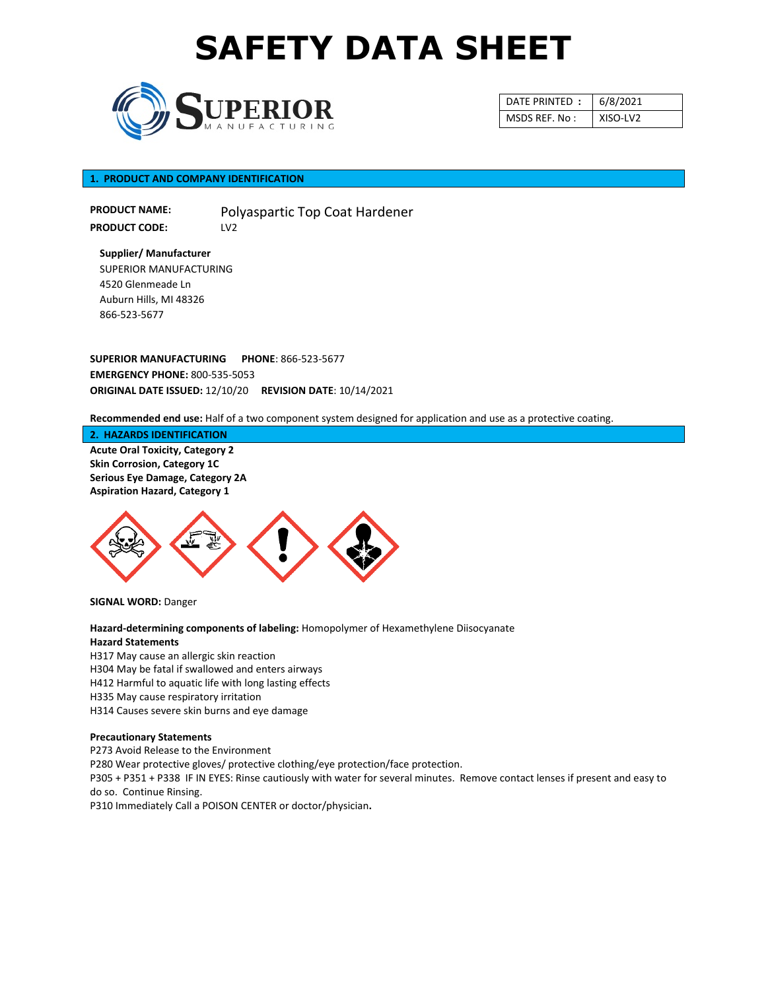

| DATE PRINTED: | 6/8/2021 |
|---------------|----------|
| MSDS REF. No: | XISO-LV2 |

## **1. PRODUCT AND COMPANY IDENTIFICATION**

**PRODUCT NAME: PRODUCT CODE:** Polyaspartic Top Coat Hardener LV2

**Supplier/ Manufacturer** SUPERIOR MANUFACTURING 4520 Glenmeade Ln Auburn Hills, MI 48326 866-523-5677

**SUPERIOR MANUFACTURING PHONE**: 866-523-5677 **EMERGENCY PHONE:** 800-535-5053 **ORIGINAL DATE ISSUED:** 12/10/20 **REVISION DATE**: 10/14/2021

**Recommended end use:** Half of a two component system designed for application and use as a protective coating.

**2. HAZARDS IDENTIFICATION**

**Acute Oral Toxicity, Category 2 Skin Corrosion, Category 1C Serious Eye Damage, Category 2A Aspiration Hazard, Category 1**



**SIGNAL WORD:** Danger

**Hazard-determining components of labeling:** Homopolymer of Hexamethylene Diisocyanate **Hazard Statements**

H317 May cause an allergic skin reaction H304 May be fatal if swallowed and enters airways H412 Harmful to aquatic life with long lasting effects H335 May cause respiratory irritation H314 Causes severe skin burns and eye damage

## **Precautionary Statements**

P273 Avoid Release to the Environment P280 Wear protective gloves/ protective clothing/eye protection/face protection. P305 + P351 + P338 IF IN EYES: Rinse cautiously with water for several minutes. Remove contact lenses if present and easy to do so. Continue Rinsing. P310 Immediately Call a POISON CENTER or doctor/physician**.**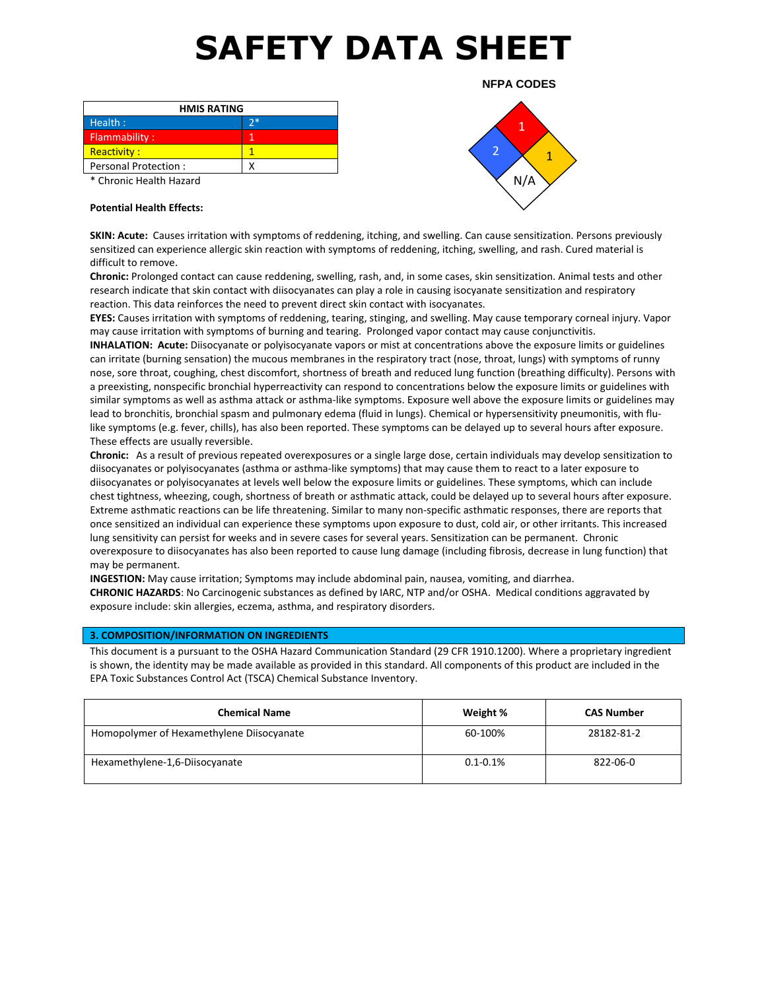| <b>HMIS RATING</b>      |    |  |
|-------------------------|----|--|
| Health:                 | 守称 |  |
| Flammability:           |    |  |
| Reactivity:             |    |  |
| Personal Protection:    |    |  |
| * Chronic Health Hazard |    |  |

1  $\frac{2}{1}$ N/A

**NFPA CODES**

**Potential Health Effects:**

**SKIN: Acute:** Causes irritation with symptoms of reddening, itching, and swelling. Can cause sensitization. Persons previously sensitized can experience allergic skin reaction with symptoms of reddening, itching, swelling, and rash. Cured material is difficult to remove.

**Chronic:** Prolonged contact can cause reddening, swelling, rash, and, in some cases, skin sensitization. Animal tests and other research indicate that skin contact with diisocyanates can play a role in causing isocyanate sensitization and respiratory reaction. This data reinforces the need to prevent direct skin contact with isocyanates.

**EYES:** Causes irritation with symptoms of reddening, tearing, stinging, and swelling. May cause temporary corneal injury. Vapor may cause irritation with symptoms of burning and tearing. Prolonged vapor contact may cause conjunctivitis.

**INHALATION: Acute:** Diisocyanate or polyisocyanate vapors or mist at concentrations above the exposure limits or guidelines can irritate (burning sensation) the mucous membranes in the respiratory tract (nose, throat, lungs) with symptoms of runny nose, sore throat, coughing, chest discomfort, shortness of breath and reduced lung function (breathing difficulty). Persons with a preexisting, nonspecific bronchial hyperreactivity can respond to concentrations below the exposure limits or guidelines with similar symptoms as well as asthma attack or asthma-like symptoms. Exposure well above the exposure limits or guidelines may lead to bronchitis, bronchial spasm and pulmonary edema (fluid in lungs). Chemical or hypersensitivity pneumonitis, with flulike symptoms (e.g. fever, chills), has also been reported. These symptoms can be delayed up to several hours after exposure. These effects are usually reversible.

**Chronic:** As a result of previous repeated overexposures or a single large dose, certain individuals may develop sensitization to diisocyanates or polyisocyanates (asthma or asthma-like symptoms) that may cause them to react to a later exposure to diisocyanates or polyisocyanates at levels well below the exposure limits or guidelines. These symptoms, which can include chest tightness, wheezing, cough, shortness of breath or asthmatic attack, could be delayed up to several hours after exposure. Extreme asthmatic reactions can be life threatening. Similar to many non-specific asthmatic responses, there are reports that once sensitized an individual can experience these symptoms upon exposure to dust, cold air, or other irritants. This increased lung sensitivity can persist for weeks and in severe cases for several years. Sensitization can be permanent. Chronic overexposure to diisocyanates has also been reported to cause lung damage (including fibrosis, decrease in lung function) that may be permanent.

**INGESTION:** May cause irritation; Symptoms may include abdominal pain, nausea, vomiting, and diarrhea. **CHRONIC HAZARDS**: No Carcinogenic substances as defined by IARC, NTP and/or OSHA. Medical conditions aggravated by exposure include: skin allergies, eczema, asthma, and respiratory disorders.

## **3. COMPOSITION/INFORMATION ON INGREDIENTS**

This document is a pursuant to the OSHA Hazard Communication Standard (29 CFR 1910.1200). Where a proprietary ingredient is shown, the identity may be made available as provided in this standard. All components of this product are included in the EPA Toxic Substances Control Act (TSCA) Chemical Substance Inventory.

| <b>Chemical Name</b>                      | Weight %      | <b>CAS Number</b> |
|-------------------------------------------|---------------|-------------------|
| Homopolymer of Hexamethylene Diisocyanate | 60-100%       | 28182-81-2        |
| Hexamethylene-1,6-Diisocyanate            | $0.1 - 0.1\%$ | 822-06-0          |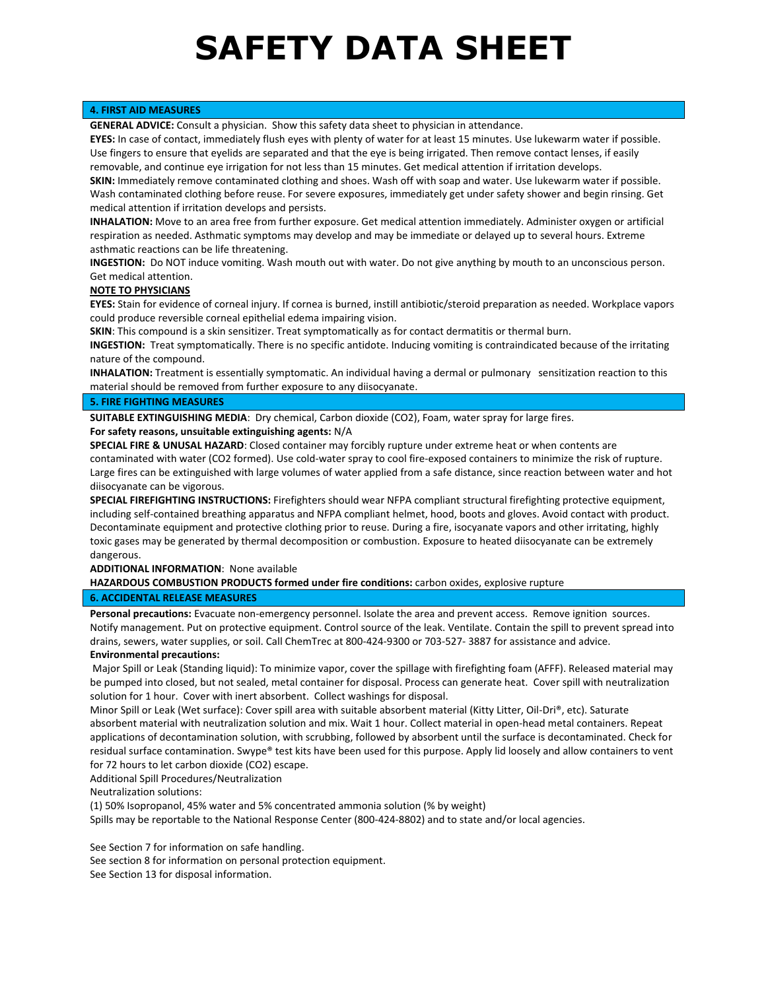## **4. FIRST AID MEASURES**

**GENERAL ADVICE:** Consult a physician. Show this safety data sheet to physician in attendance.

**EYES:** In case of contact, immediately flush eyes with plenty of water for at least 15 minutes. Use lukewarm water if possible. Use fingers to ensure that eyelids are separated and that the eye is being irrigated. Then remove contact lenses, if easily removable, and continue eye irrigation for not less than 15 minutes. Get medical attention if irritation develops.

**SKIN:** Immediately remove contaminated clothing and shoes. Wash off with soap and water. Use lukewarm water if possible. Wash contaminated clothing before reuse. For severe exposures, immediately get under safety shower and begin rinsing. Get medical attention if irritation develops and persists.

**INHALATION:** Move to an area free from further exposure. Get medical attention immediately. Administer oxygen or artificial respiration as needed. Asthmatic symptoms may develop and may be immediate or delayed up to several hours. Extreme asthmatic reactions can be life threatening.

**INGESTION:** Do NOT induce vomiting. Wash mouth out with water. Do not give anything by mouth to an unconscious person. Get medical attention.

## **NOTE TO PHYSICIANS**

**EYES:** Stain for evidence of corneal injury. If cornea is burned, instill antibiotic/steroid preparation as needed. Workplace vapors could produce reversible corneal epithelial edema impairing vision.

**SKIN**: This compound is a skin sensitizer. Treat symptomatically as for contact dermatitis or thermal burn.

**INGESTION:** Treat symptomatically. There is no specific antidote. Inducing vomiting is contraindicated because of the irritating nature of the compound.

**INHALATION:** Treatment is essentially symptomatic. An individual having a dermal or pulmonary sensitization reaction to this material should be removed from further exposure to any diisocyanate.

## **5. FIRE FIGHTING MEASURES**

**SUITABLE EXTINGUISHING MEDIA**: Dry chemical, Carbon dioxide (CO2), Foam, water spray for large fires.

## **For safety reasons, unsuitable extinguishing agents:** N/A

**SPECIAL FIRE & UNUSAL HAZARD**: Closed container may forcibly rupture under extreme heat or when contents are contaminated with water (CO2 formed). Use cold-water spray to cool fire-exposed containers to minimize the risk of rupture. Large fires can be extinguished with large volumes of water applied from a safe distance, since reaction between water and hot diisocyanate can be vigorous.

**SPECIAL FIREFIGHTING INSTRUCTIONS:** Firefighters should wear NFPA compliant structural firefighting protective equipment, including self-contained breathing apparatus and NFPA compliant helmet, hood, boots and gloves. Avoid contact with product. Decontaminate equipment and protective clothing prior to reuse. During a fire, isocyanate vapors and other irritating, highly toxic gases may be generated by thermal decomposition or combustion. Exposure to heated diisocyanate can be extremely dangerous.

### **ADDITIONAL INFORMATION**: None available

**HAZARDOUS COMBUSTION PRODUCTS formed under fire conditions:** carbon oxides, explosive rupture

## **6. ACCIDENTAL RELEASE MEASURES**

**Personal precautions:** Evacuate non-emergency personnel. Isolate the area and prevent access. Remove ignition sources. Notify management. Put on protective equipment. Control source of the leak. Ventilate. Contain the spill to prevent spread into drains, sewers, water supplies, or soil. Call ChemTrec at 800-424-9300 or 703-527- 3887 for assistance and advice.

### **Environmental precautions:**

Major Spill or Leak (Standing liquid): To minimize vapor, cover the spillage with firefighting foam (AFFF). Released material may be pumped into closed, but not sealed, metal container for disposal. Process can generate heat. Cover spill with neutralization solution for 1 hour. Cover with inert absorbent. Collect washings for disposal.

Minor Spill or Leak (Wet surface): Cover spill area with suitable absorbent material (Kitty Litter, Oil-Dri®, etc). Saturate absorbent material with neutralization solution and mix. Wait 1 hour. Collect material in open-head metal containers. Repeat applications of decontamination solution, with scrubbing, followed by absorbent until the surface is decontaminated. Check for residual surface contamination. Swype® test kits have been used for this purpose. Apply lid loosely and allow containers to vent for 72 hours to let carbon dioxide (CO2) escape.

Additional Spill Procedures/Neutralization

Neutralization solutions:

(1) 50% Isopropanol, 45% water and 5% concentrated ammonia solution (% by weight)

Spills may be reportable to the National Response Center (800-424-8802) and to state and/or local agencies.

See Section 7 for information on safe handling.

See section 8 for information on personal protection equipment.

See Section 13 for disposal information.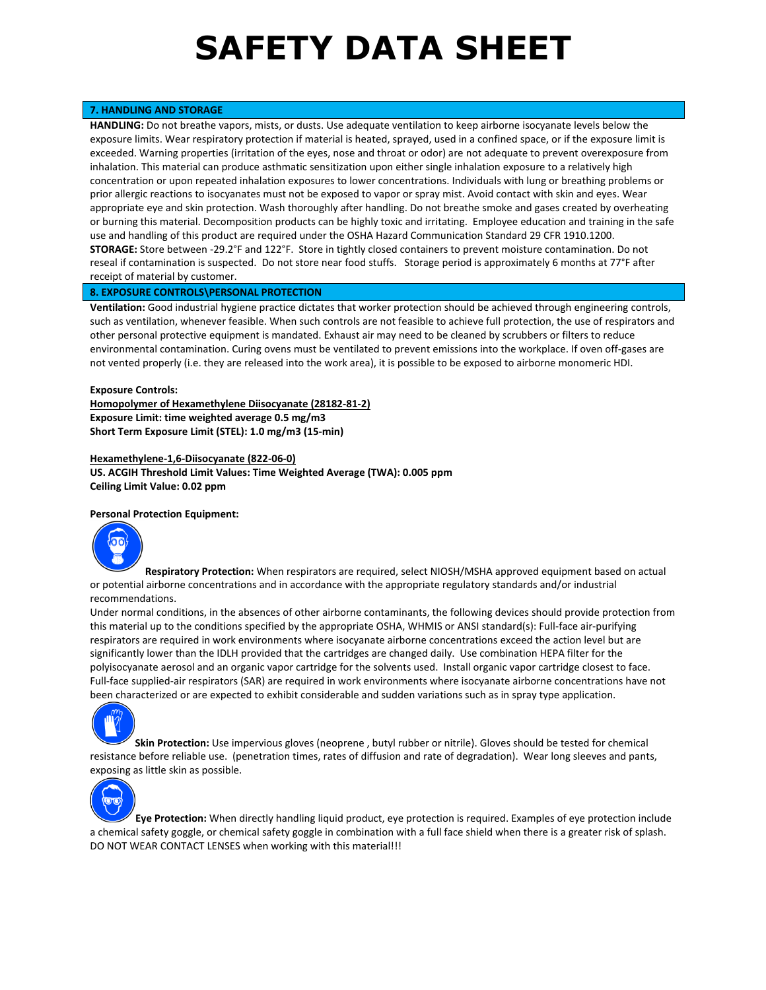## **7. HANDLING AND STORAGE**

**HANDLING:** Do not breathe vapors, mists, or dusts. Use adequate ventilation to keep airborne isocyanate levels below the exposure limits. Wear respiratory protection if material is heated, sprayed, used in a confined space, or if the exposure limit is exceeded. Warning properties (irritation of the eyes, nose and throat or odor) are not adequate to prevent overexposure from inhalation. This material can produce asthmatic sensitization upon either single inhalation exposure to a relatively high concentration or upon repeated inhalation exposures to lower concentrations. Individuals with lung or breathing problems or prior allergic reactions to isocyanates must not be exposed to vapor or spray mist. Avoid contact with skin and eyes. Wear appropriate eye and skin protection. Wash thoroughly after handling. Do not breathe smoke and gases created by overheating or burning this material. Decomposition products can be highly toxic and irritating. Employee education and training in the safe use and handling of this product are required under the OSHA Hazard Communication Standard 29 CFR 1910.1200. **STORAGE:** Store between -29.2°F and 122°F. Store in tightly closed containers to prevent moisture contamination. Do not reseal if contamination is suspected. Do not store near food stuffs. Storage period is approximately 6 months at 77°F after receipt of material by customer.

## **8. EXPOSURE CONTROLS\PERSONAL PROTECTION**

**Ventilation:** Good industrial hygiene practice dictates that worker protection should be achieved through engineering controls, such as ventilation, whenever feasible. When such controls are not feasible to achieve full protection, the use of respirators and other personal protective equipment is mandated. Exhaust air may need to be cleaned by scrubbers or filters to reduce environmental contamination. Curing ovens must be ventilated to prevent emissions into the workplace. If oven off-gases are not vented properly (i.e. they are released into the work area), it is possible to be exposed to airborne monomeric HDI.

### **Exposure Controls:**

**Homopolymer of Hexamethylene Diisocyanate (28182-81-2) Exposure Limit: time weighted average 0.5 mg/m3 Short Term Exposure Limit (STEL): 1.0 mg/m3 (15-min)**

## **Hexamethylene-1,6-Diisocyanate (822-06-0) US. ACGIH Threshold Limit Values: Time Weighted Average (TWA): 0.005 ppm Ceiling Limit Value: 0.02 ppm**

#### **Personal Protection Equipment:**



**Respiratory Protection:** When respirators are required, select NIOSH/MSHA approved equipment based on actual or potential airborne concentrations and in accordance with the appropriate regulatory standards and/or industrial recommendations.

Under normal conditions, in the absences of other airborne contaminants, the following devices should provide protection from this material up to the conditions specified by the appropriate OSHA, WHMIS or ANSI standard(s): Full-face air-purifying respirators are required in work environments where isocyanate airborne concentrations exceed the action level but are significantly lower than the IDLH provided that the cartridges are changed daily. Use combination HEPA filter for the polyisocyanate aerosol and an organic vapor cartridge for the solvents used. Install organic vapor cartridge closest to face. Full-face supplied-air respirators (SAR) are required in work environments where isocyanate airborne concentrations have not been characterized or are expected to exhibit considerable and sudden variations such as in spray type application.



**Skin Protection:** Use impervious gloves (neoprene , butyl rubber or nitrile). Gloves should be tested for chemical resistance before reliable use. (penetration times, rates of diffusion and rate of degradation). Wear long sleeves and pants, exposing as little skin as possible.



**Eye Protection:** When directly handling liquid product, eye protection is required. Examples of eye protection include a chemical safety goggle, or chemical safety goggle in combination with a full face shield when there is a greater risk of splash. DO NOT WEAR CONTACT LENSES when working with this material!!!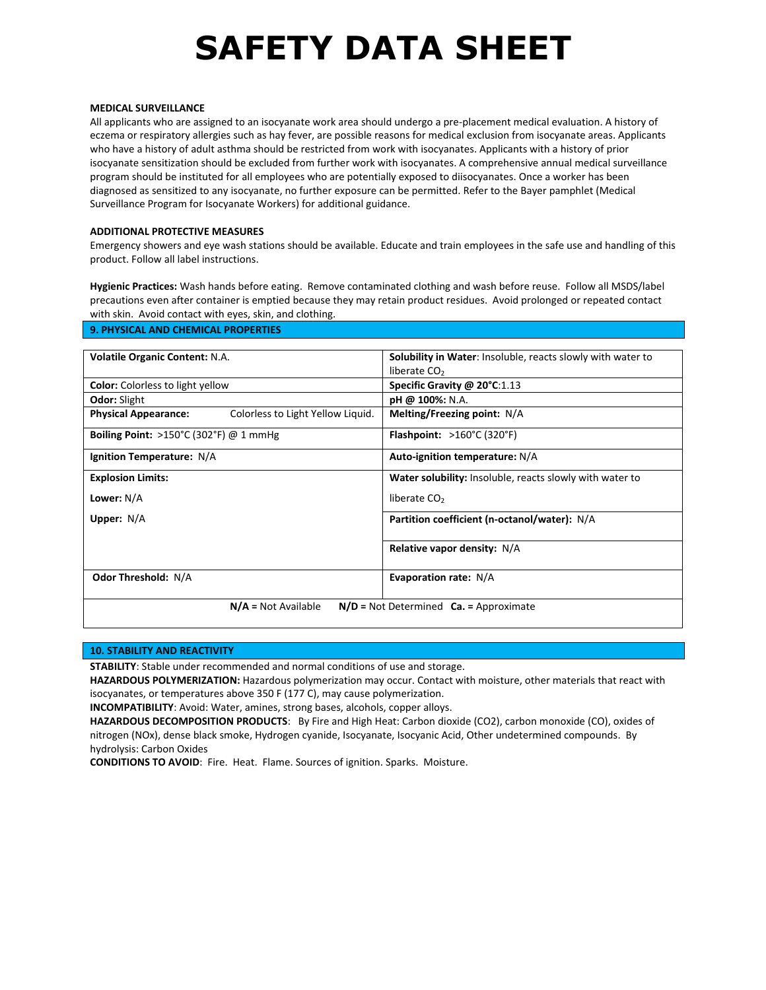#### **MEDICAL SURVEILLANCE**

All applicants who are assigned to an isocyanate work area should undergo a pre-placement medical evaluation. A history of eczema or respiratory allergies such as hay fever, are possible reasons for medical exclusion from isocyanate areas. Applicants who have a history of adult asthma should be restricted from work with isocyanates. Applicants with a history of prior isocyanate sensitization should be excluded from further work with isocyanates. A comprehensive annual medical surveillance program should be instituted for all employees who are potentially exposed to diisocyanates. Once a worker has been diagnosed as sensitized to any isocyanate, no further exposure can be permitted. Refer to the Bayer pamphlet (Medical Surveillance Program for Isocyanate Workers) for additional guidance.

## **ADDITIONAL PROTECTIVE MEASURES**

Emergency showers and eye wash stations should be available. Educate and train employees in the safe use and handling of this product. Follow all label instructions.

**Hygienic Practices:** Wash hands before eating. Remove contaminated clothing and wash before reuse. Follow all MSDS/label precautions even after container is emptied because they may retain product residues. Avoid prolonged or repeated contact with skin. Avoid contact with eyes, skin, and clothing.

| <b>Volatile Organic Content: N.A.</b>                               |                                   | <b>Solubility in Water:</b> Insoluble, reacts slowly with water to |
|---------------------------------------------------------------------|-----------------------------------|--------------------------------------------------------------------|
|                                                                     |                                   | liberate $CO2$                                                     |
| <b>Color:</b> Colorless to light yellow                             |                                   | Specific Gravity @ 20°C:1.13                                       |
| <b>Odor: Slight</b>                                                 |                                   | pH @ 100%: N.A.                                                    |
| <b>Physical Appearance:</b>                                         | Colorless to Light Yellow Liquid. | Melting/Freezing point: N/A                                        |
| <b>Boiling Point: &gt;150°C (302°F) @ 1 mmHg</b>                    |                                   | <b>Flashpoint:</b> $>160^{\circ}$ C (320 <sup>°</sup> F)           |
| Ignition Temperature: N/A                                           |                                   | Auto-ignition temperature: N/A                                     |
| <b>Explosion Limits:</b>                                            |                                   | Water solubility: Insoluble, reacts slowly with water to           |
| Lower: N/A                                                          |                                   | liberate CO <sub>2</sub>                                           |
| Upper: $N/A$                                                        |                                   | Partition coefficient (n-octanol/water): N/A                       |
|                                                                     |                                   | Relative vapor density: N/A                                        |
| <b>Odor Threshold: N/A</b>                                          |                                   | <b>Evaporation rate: N/A</b>                                       |
| $N/A = Not Available$<br>$N/D$ = Not Determined $Ca.$ = Approximate |                                   |                                                                    |

## **10. STABILITY AND REACTIVITY**

**STABILITY**: Stable under recommended and normal conditions of use and storage.

**HAZARDOUS POLYMERIZATION:** Hazardous polymerization may occur. Contact with moisture, other materials that react with isocyanates, or temperatures above 350 F (177 C), may cause polymerization.

**INCOMPATIBILITY**: Avoid: Water, amines, strong bases, alcohols, copper alloys.

**HAZARDOUS DECOMPOSITION PRODUCTS**: By Fire and High Heat: Carbon dioxide (CO2), carbon monoxide (CO), oxides of nitrogen (NOx), dense black smoke, Hydrogen cyanide, Isocyanate, Isocyanic Acid, Other undetermined compounds. By hydrolysis: Carbon Oxides

**CONDITIONS TO AVOID**: Fire. Heat. Flame. Sources of ignition. Sparks. Moisture.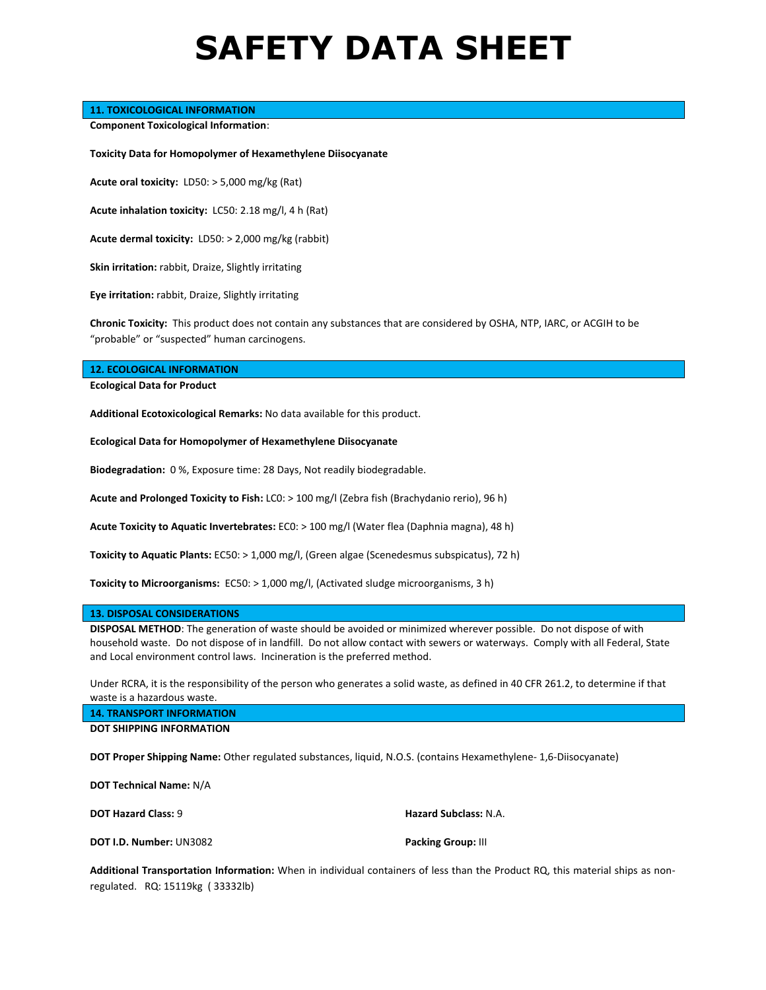## **11. TOXICOLOGICAL INFORMATION**

**Component Toxicological Information**:

**Toxicity Data for Homopolymer of Hexamethylene Diisocyanate**

**Acute oral toxicity:** LD50: > 5,000 mg/kg (Rat)

**Acute inhalation toxicity:** LC50: 2.18 mg/l, 4 h (Rat)

**Acute dermal toxicity:** LD50: > 2,000 mg/kg (rabbit)

**Skin irritation:** rabbit, Draize, Slightly irritating

**Eye irritation:** rabbit, Draize, Slightly irritating

**Chronic Toxicity:** This product does not contain any substances that are considered by OSHA, NTP, IARC, or ACGIH to be "probable" or "suspected" human carcinogens.

#### **12. ECOLOGICAL INFORMATION**

**Ecological Data for Product**

**Additional Ecotoxicological Remarks:** No data available for this product.

**Ecological Data for Homopolymer of Hexamethylene Diisocyanate**

**Biodegradation:** 0 %, Exposure time: 28 Days, Not readily biodegradable.

**Acute and Prolonged Toxicity to Fish:** LC0: > 100 mg/l (Zebra fish (Brachydanio rerio), 96 h)

**Acute Toxicity to Aquatic Invertebrates:** EC0: > 100 mg/l (Water flea (Daphnia magna), 48 h)

**Toxicity to Aquatic Plants:** EC50: > 1,000 mg/l, (Green algae (Scenedesmus subspicatus), 72 h)

**Toxicity to Microorganisms:** EC50: > 1,000 mg/l, (Activated sludge microorganisms, 3 h)

#### **13. DISPOSAL CONSIDERATIONS**

**DISPOSAL METHOD**: The generation of waste should be avoided or minimized wherever possible. Do not dispose of with household waste. Do not dispose of in landfill. Do not allow contact with sewers or waterways. Comply with all Federal, State and Local environment control laws. Incineration is the preferred method.

Under RCRA, it is the responsibility of the person who generates a solid waste, as defined in 40 CFR 261.2, to determine if that waste is a hazardous waste.

**14. TRANSPORT INFORMATION DOT SHIPPING INFORMATION**

**DOT Proper Shipping Name:** Other regulated substances, liquid, N.O.S. (contains Hexamethylene- 1,6-Diisocyanate)

**DOT Technical Name:** N/A

**DOT Hazard Class: 9 <b>Hazard Subclass:** N.A.

**DOT I.D. Number:** UN3082 **Packing Group:** III

**Additional Transportation Information:** When in individual containers of less than the Product RQ, this material ships as nonregulated. RQ: 15119kg ( 33332lb)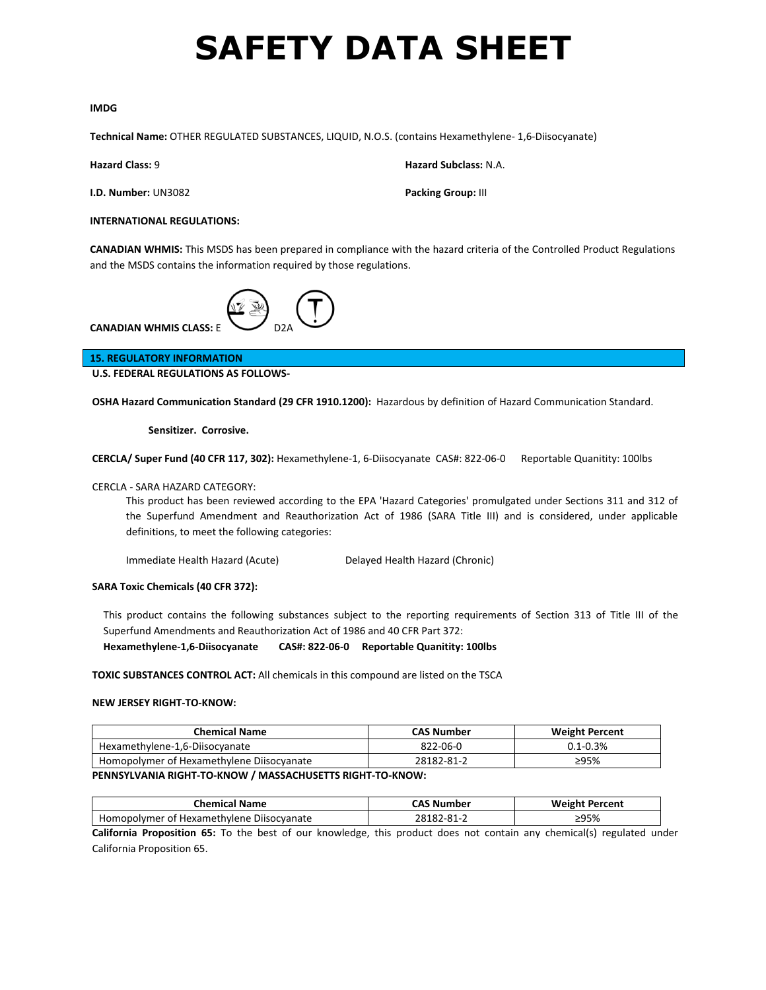### **IMDG**

**Technical Name:** OTHER REGULATED SUBSTANCES, LIQUID, N.O.S. (contains Hexamethylene- 1,6-Diisocyanate)

**I.D. Number: UN3082 Packing Group: III** 

**Hazard Class:** 9 **Hazard Subclass:** N.A.

## **INTERNATIONAL REGULATIONS:**

**CANADIAN WHMIS:** This MSDS has been prepared in compliance with the hazard criteria of the Controlled Product Regulations and the MSDS contains the information required by those regulations.



**15. REGULATORY INFORMATION**

**U.S. FEDERAL REGULATIONS AS FOLLOWS-**

**OSHA Hazard Communication Standard (29 CFR 1910.1200):** Hazardous by definition of Hazard Communication Standard.

**Sensitizer. Corrosive.**

**CERCLA/ Super Fund (40 CFR 117, 302):** Hexamethylene-1, 6-Diisocyanate CAS#: 822-06-0 Reportable Quanitity: 100lbs

## CERCLA - SARA HAZARD CATEGORY:

This product has been reviewed according to the EPA 'Hazard Categories' promulgated under Sections 311 and 312 of the Superfund Amendment and Reauthorization Act of 1986 (SARA Title III) and is considered, under applicable definitions, to meet the following categories:

Immediate Health Hazard (Acute) Delayed Health Hazard (Chronic)

### **SARA Toxic Chemicals (40 CFR 372):**

This product contains the following substances subject to the reporting requirements of Section 313 of Title III of the Superfund Amendments and Reauthorization Act of 1986 and 40 CFR Part 372:

**Hexamethylene-1,6-Diisocyanate CAS#: 822-06-0 Reportable Quanitity: 100lbs**

**TOXIC SUBSTANCES CONTROL ACT:** All chemicals in this compound are listed on the TSCA

### **NEW JERSEY RIGHT-TO-KNOW:**

| <b>Chemical Name</b>                      | <b>CAS Number</b> | <b>Weight Percent</b> |
|-------------------------------------------|-------------------|-----------------------|
| Hexamethylene-1,6-Diisocyanate            | 822-06-0          | $0.1 - 0.3%$          |
| Homopolymer of Hexamethylene Diisocyanate | 28182-81-2        | ≥95%                  |

## **PENNSYLVANIA RIGHT-TO-KNOW / MASSACHUSETTS RIGHT-TO-KNOW:**

| <b>Chemical Name</b>                      | CAS Number | <b>Weight Percent</b> |
|-------------------------------------------|------------|-----------------------|
| Homopolymer of Hexamethylene Diisocyanate | 28182-81-2 | ≥95%                  |

**California Proposition 65:** To the best of our knowledge, this product does not contain any chemical(s) regulated under California Proposition 65.